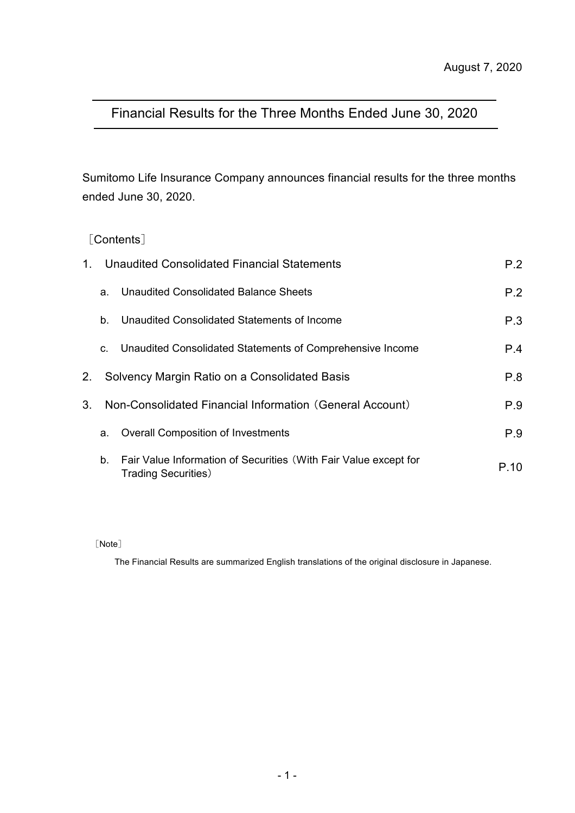## Financial Results for the Three Months Ended June 30, 2020

Sumitomo Life Insurance Company announces financial results for the three months ended June 30, 2020.

## [Contents]

| $1_{-}$        |    | Unaudited Consolidated Financial Statements                                                     | P.2  |
|----------------|----|-------------------------------------------------------------------------------------------------|------|
|                | a. | Unaudited Consolidated Balance Sheets                                                           | P.2  |
|                | b. | Unaudited Consolidated Statements of Income                                                     | P.3  |
|                | C. | Unaudited Consolidated Statements of Comprehensive Income                                       | P.4  |
| 2.             |    | Solvency Margin Ratio on a Consolidated Basis                                                   | P.8  |
| 3 <sub>1</sub> |    | Non-Consolidated Financial Information (General Account)                                        | P.9  |
|                | a. | <b>Overall Composition of Investments</b>                                                       | P.9  |
|                | b. | Fair Value Information of Securities (With Fair Value except for<br><b>Trading Securities</b> ) | P 10 |

[Note]

The Financial Results are summarized English translations of the original disclosure in Japanese.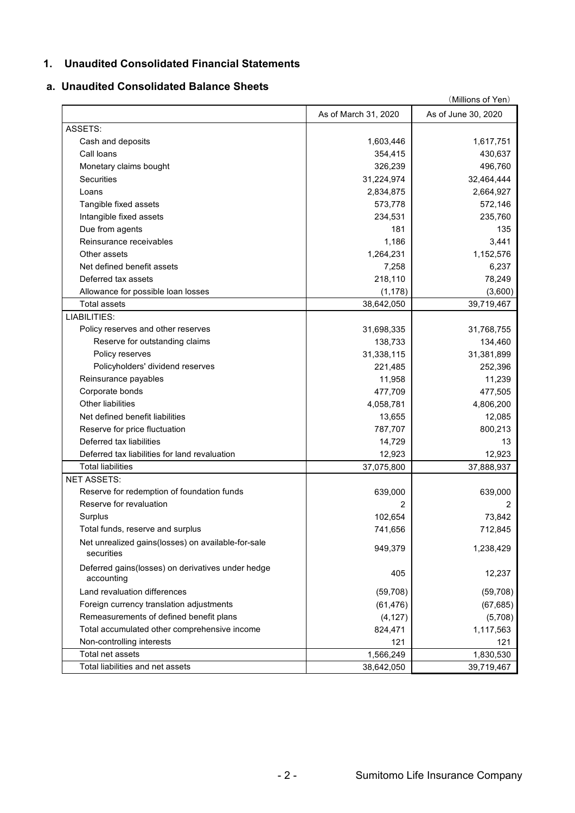### **1. Unaudited Consolidated Financial Statements**

## **a. Unaudited Consolidated Balance Sheets**

|                                                                  | (Millions of Yen)    |                     |  |  |  |  |
|------------------------------------------------------------------|----------------------|---------------------|--|--|--|--|
|                                                                  | As of March 31, 2020 | As of June 30, 2020 |  |  |  |  |
| ASSETS:                                                          |                      |                     |  |  |  |  |
| Cash and deposits                                                | 1,603,446            | 1,617,751           |  |  |  |  |
| Call loans                                                       | 354,415              | 430,637             |  |  |  |  |
| Monetary claims bought                                           | 326,239              | 496,760             |  |  |  |  |
| Securities                                                       | 31,224,974           | 32,464,444          |  |  |  |  |
| Loans                                                            | 2,834,875            | 2,664,927           |  |  |  |  |
| Tangible fixed assets                                            | 573,778              | 572,146             |  |  |  |  |
| Intangible fixed assets                                          | 234,531              | 235,760             |  |  |  |  |
| Due from agents                                                  | 181                  | 135                 |  |  |  |  |
| Reinsurance receivables                                          | 1,186                | 3,441               |  |  |  |  |
| Other assets                                                     | 1,264,231            | 1,152,576           |  |  |  |  |
| Net defined benefit assets                                       | 7,258                | 6,237               |  |  |  |  |
| Deferred tax assets                                              | 218,110              | 78,249              |  |  |  |  |
| Allowance for possible loan losses                               | (1, 178)             | (3,600)             |  |  |  |  |
| <b>Total assets</b>                                              | 38,642,050           | 39,719,467          |  |  |  |  |
| LIABILITIES:                                                     |                      |                     |  |  |  |  |
| Policy reserves and other reserves                               | 31,698,335           | 31,768,755          |  |  |  |  |
| Reserve for outstanding claims                                   | 138,733              | 134,460             |  |  |  |  |
| Policy reserves                                                  | 31,338,115           | 31,381,899          |  |  |  |  |
| Policyholders' dividend reserves                                 | 221,485              | 252,396             |  |  |  |  |
| Reinsurance payables                                             | 11,958               | 11,239              |  |  |  |  |
| Corporate bonds                                                  | 477,709              | 477,505             |  |  |  |  |
| <b>Other liabilities</b>                                         | 4,058,781            | 4,806,200           |  |  |  |  |
| Net defined benefit liabilities                                  | 13,655               | 12,085              |  |  |  |  |
| Reserve for price fluctuation                                    | 787,707              | 800,213             |  |  |  |  |
| Deferred tax liabilities                                         | 14,729               | 13                  |  |  |  |  |
| Deferred tax liabilities for land revaluation                    | 12,923               | 12,923              |  |  |  |  |
| <b>Total liabilities</b>                                         | 37,075,800           | 37,888,937          |  |  |  |  |
| <b>NET ASSETS:</b>                                               |                      |                     |  |  |  |  |
| Reserve for redemption of foundation funds                       | 639,000              | 639,000             |  |  |  |  |
| Reserve for revaluation                                          |                      | 2                   |  |  |  |  |
| Surplus                                                          | 102,654              | 73,842              |  |  |  |  |
| Total funds, reserve and surplus                                 | 741,656              | 712,845             |  |  |  |  |
| Net unrealized gains(losses) on available-for-sale<br>securities | 949,379              | 1,238,429           |  |  |  |  |
| Deferred gains(losses) on derivatives under hedge<br>accounting  | 405                  | 12,237              |  |  |  |  |
| Land revaluation differences                                     | (59, 708)            | (59, 708)           |  |  |  |  |
| Foreign currency translation adjustments                         | (61, 476)            | (67, 685)           |  |  |  |  |
| Remeasurements of defined benefit plans                          | (4, 127)             | (5,708)             |  |  |  |  |
| Total accumulated other comprehensive income                     | 824,471              | 1,117,563           |  |  |  |  |
| Non-controlling interests                                        | 121                  | 121                 |  |  |  |  |
| Total net assets                                                 | 1,566,249            | 1,830,530           |  |  |  |  |
| Total liabilities and net assets                                 | 38,642,050           | 39,719,467          |  |  |  |  |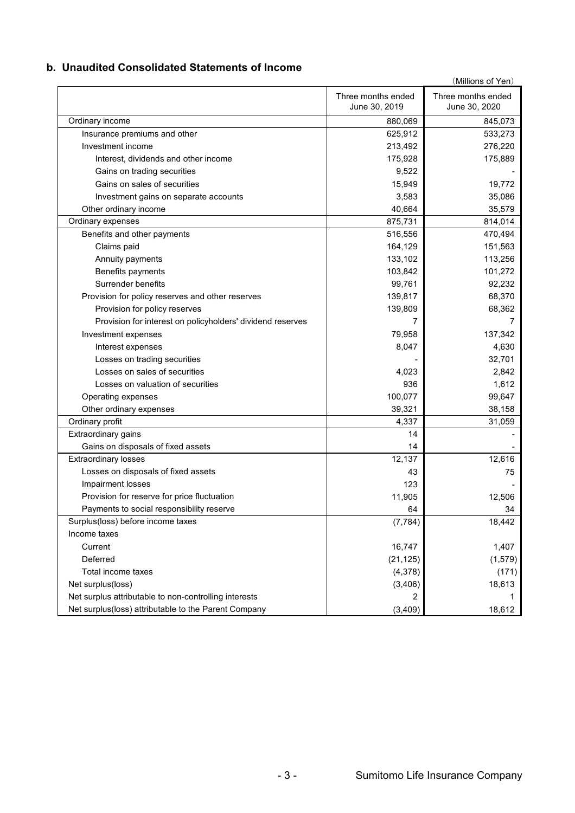### **b. Unaudited Consolidated Statements of Income**

|                                                            |                                     | (Millions of Yen)                   |
|------------------------------------------------------------|-------------------------------------|-------------------------------------|
|                                                            | Three months ended<br>June 30, 2019 | Three months ended<br>June 30, 2020 |
| Ordinary income                                            | 880,069                             | 845,073                             |
| Insurance premiums and other                               | 625,912                             | 533,273                             |
| Investment income                                          | 213,492                             | 276,220                             |
| Interest, dividends and other income                       | 175,928                             | 175,889                             |
| Gains on trading securities                                | 9,522                               |                                     |
| Gains on sales of securities                               | 15,949                              | 19,772                              |
| Investment gains on separate accounts                      | 3,583                               | 35,086                              |
| Other ordinary income                                      | 40,664                              | 35,579                              |
| Ordinary expenses                                          | 875,731                             | 814,014                             |
| Benefits and other payments                                | 516,556                             | 470,494                             |
| Claims paid                                                | 164,129                             | 151,563                             |
| Annuity payments                                           | 133,102                             | 113,256                             |
| Benefits payments                                          | 103,842                             | 101,272                             |
| Surrender benefits                                         | 99,761                              | 92,232                              |
| Provision for policy reserves and other reserves           | 139,817                             | 68,370                              |
| Provision for policy reserves                              | 139,809                             | 68,362                              |
| Provision for interest on policyholders' dividend reserves |                                     | 7                                   |
| Investment expenses                                        | 79,958                              | 137,342                             |
| Interest expenses                                          | 8,047                               | 4,630                               |
| Losses on trading securities                               |                                     | 32,701                              |
| Losses on sales of securities                              | 4,023                               | 2,842                               |
| Losses on valuation of securities                          | 936                                 | 1,612                               |
| Operating expenses                                         | 100,077                             | 99,647                              |
| Other ordinary expenses                                    | 39,321                              | 38,158                              |
| Ordinary profit                                            | 4,337                               | 31,059                              |
| Extraordinary gains                                        | 14                                  |                                     |
| Gains on disposals of fixed assets                         | 14                                  |                                     |
| <b>Extraordinary losses</b>                                | 12,137                              | 12,616                              |
| Losses on disposals of fixed assets                        | 43                                  | 75                                  |
| Impairment losses                                          | 123                                 |                                     |
| Provision for reserve for price fluctuation                | 11,905                              | 12,506                              |
| Payments to social responsibility reserve                  | 64                                  | 34                                  |
| Surplus(loss) before income taxes                          | (7, 784)                            | 18,442                              |
| Income taxes                                               |                                     |                                     |
| Current                                                    | 16,747                              | 1,407                               |
| Deferred                                                   | (21, 125)                           | (1, 579)                            |
| Total income taxes                                         | (4,378)                             | (171)                               |
| Net surplus(loss)                                          | (3, 406)                            | 18,613                              |
| Net surplus attributable to non-controlling interests      |                                     |                                     |
| Net surplus(loss) attributable to the Parent Company       | (3, 409)                            | 18,612                              |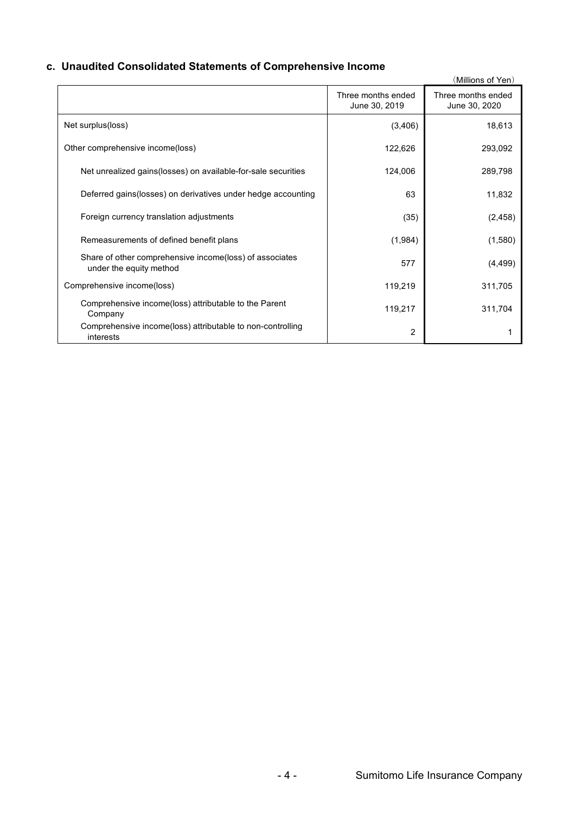## **c. Unaudited Consolidated Statements of Comprehensive Income**

|                                                                                    |                                     | (Millions of Yen)                   |
|------------------------------------------------------------------------------------|-------------------------------------|-------------------------------------|
|                                                                                    | Three months ended<br>June 30, 2019 | Three months ended<br>June 30, 2020 |
| Net surplus(loss)                                                                  | (3,406)                             | 18,613                              |
| Other comprehensive income(loss)                                                   | 122,626                             | 293,092                             |
| Net unrealized gains (losses) on available-for-sale securities                     | 124,006                             | 289,798                             |
| Deferred gains (losses) on derivatives under hedge accounting                      | 63                                  | 11,832                              |
| Foreign currency translation adjustments                                           | (35)                                | (2, 458)                            |
| Remeasurements of defined benefit plans                                            | (1,984)                             | (1,580)                             |
| Share of other comprehensive income(loss) of associates<br>under the equity method | 577                                 | (4, 499)                            |
| Comprehensive income(loss)                                                         | 119,219                             | 311,705                             |
| Comprehensive income(loss) attributable to the Parent<br>Company                   | 119,217                             | 311,704                             |
| Comprehensive income(loss) attributable to non-controlling<br>interests            | 2                                   |                                     |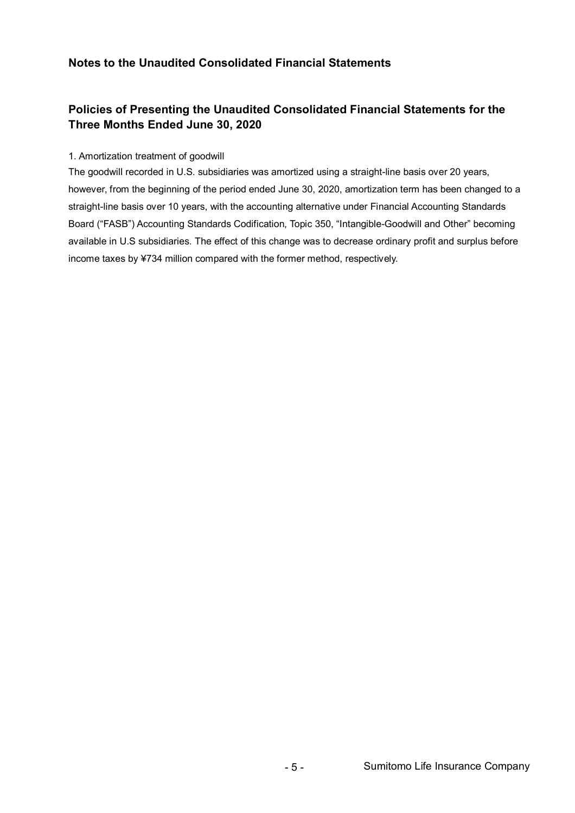## **Notes to the Unaudited Consolidated Financial Statements**

## **Policies of Presenting the Unaudited Consolidated Financial Statements for the Three Months Ended June 30, 2020**

#### 1. Amortization treatment of goodwill

The goodwill recorded in U.S. subsidiaries was amortized using a straight-line basis over 20 years, however, from the beginning of the period ended June 30, 2020, amortization term has been changed to a straight-line basis over 10 years, with the accounting alternative under Financial Accounting Standards Board ("FASB") Accounting Standards Codification, Topic 350, "Intangible-Goodwill and Other" becoming available in U.S subsidiaries. The effect of this change was to decrease ordinary profit and surplus before income taxes by ¥734 million compared with the former method, respectively.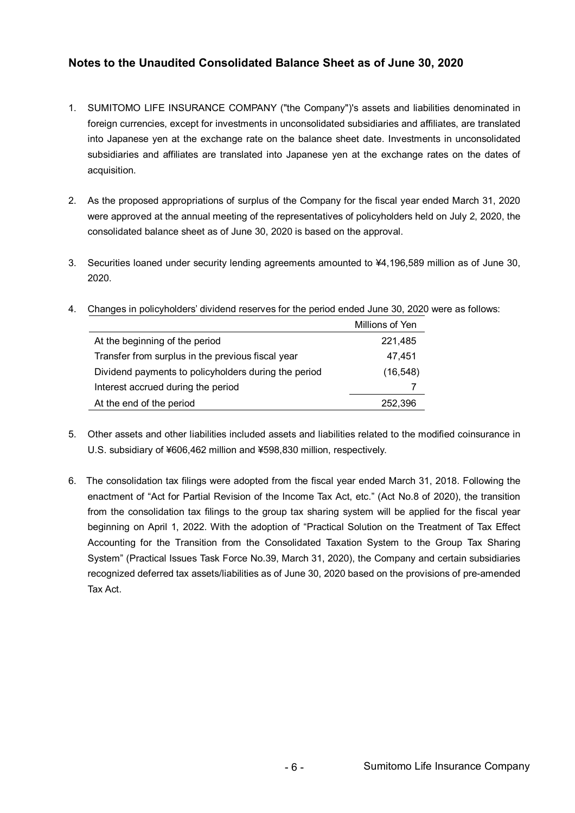## **Notes to the Unaudited Consolidated Balance Sheet as of June 30, 2020**

- 1. SUMITOMO LIFE INSURANCE COMPANY ("the Company")'s assets and liabilities denominated in foreign currencies, except for investments in unconsolidated subsidiaries and affiliates, are translated into Japanese yen at the exchange rate on the balance sheet date. Investments in unconsolidated subsidiaries and affiliates are translated into Japanese yen at the exchange rates on the dates of acquisition.
- 2. As the proposed appropriations of surplus of the Company for the fiscal year ended March 31, 2020 were approved at the annual meeting of the representatives of policyholders held on July 2, 2020, the consolidated balance sheet as of June 30, 2020 is based on the approval.
- 3. Securities loaned under security lending agreements amounted to ¥4,196,589 million as of June 30, 2020.

|                                                      | Millions of Yen |
|------------------------------------------------------|-----------------|
| At the beginning of the period                       | 221,485         |
| Transfer from surplus in the previous fiscal year    | 47,451          |
| Dividend payments to policyholders during the period | (16, 548)       |
| Interest accrued during the period                   |                 |
| At the end of the period                             | 252.396         |

4. Changes in policyholders' dividend reserves for the period ended June 30, 2020 were as follows:

- 5. Other assets and other liabilities included assets and liabilities related to the modified coinsurance in U.S. subsidiary of ¥606,462 million and ¥598,830 million, respectively.
- 6. The consolidation tax filings were adopted from the fiscal year ended March 31, 2018. Following the enactment of "Act for Partial Revision of the Income Tax Act, etc." (Act No.8 of 2020), the transition from the consolidation tax filings to the group tax sharing system will be applied for the fiscal year beginning on April 1, 2022. With the adoption of "Practical Solution on the Treatment of Tax Effect Accounting for the Transition from the Consolidated Taxation System to the Group Tax Sharing System" (Practical Issues Task Force No.39, March 31, 2020), the Company and certain subsidiaries recognized deferred tax assets/liabilities as of June 30, 2020 based on the provisions of pre-amended Tax Act.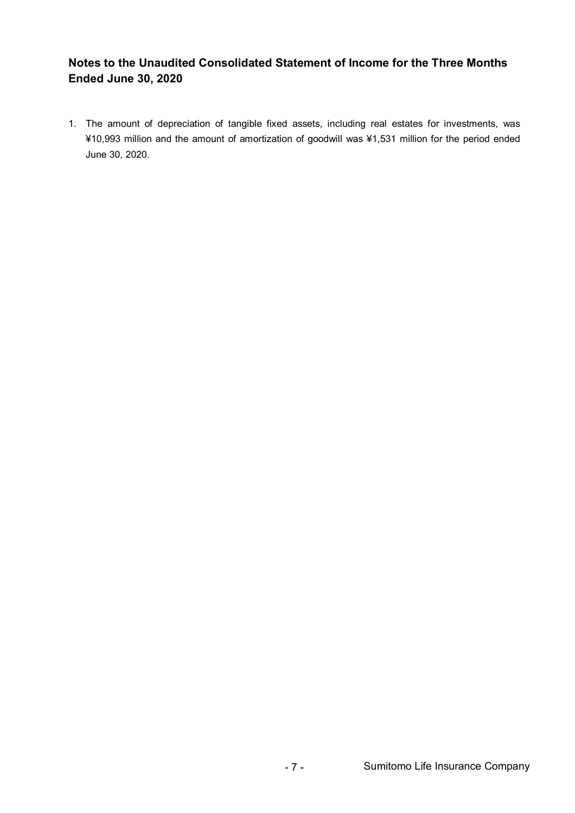## **Notes to the Unaudited Consolidated Statement of Income for the Three Months Ended June 30, 2020**

1. The amount of depreciation of tangible fixed assets, including real estates for investments, was ¥10,993 million and the amount of amortization of goodwill was ¥1,531 million for the period ended June 30, 2020.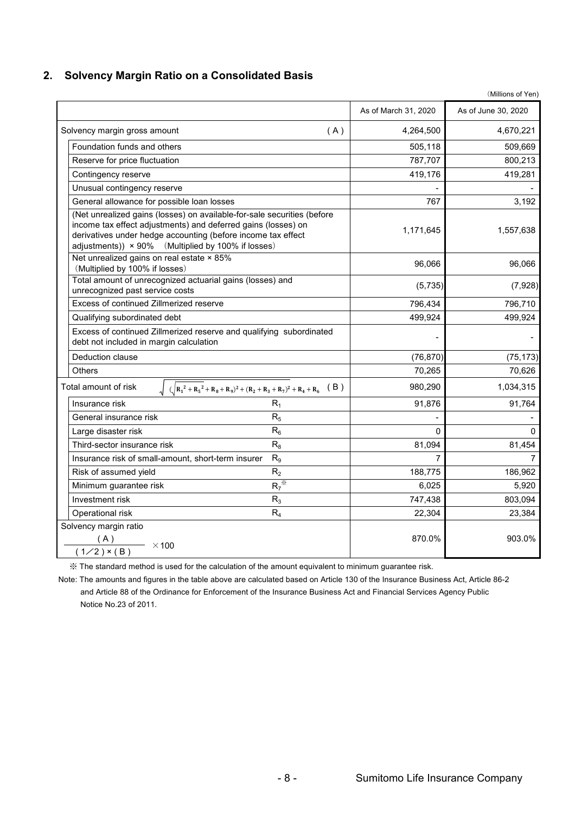#### **2. Solvency Margin Ratio on a Consolidated Basis**

As of March 31, 2020 <br>**As of June 30, 2020** Solvency margin gross amount the same state of the set of the set of the 4,264,500 and 4,670,221 Foundation funds and others 605,000 Foundation funds and others for the state of the state of the state of the state of the state of the state of the state of the state of the state of the state of the state of the state o Reserve for price fluctuation  $\begin{array}{ccc} 787,707 \end{array}$  800,213 Contingency reserve 419,281 Unusual contingency reserve General allowance for possible loan losses and the set of the set of the set of the set of the set of the set of the set of the set of the set of the set of the set of the set of the set of the set of the set of the set of 1,171,645 1,557,638 96,066 96,066 (5,735) (7,928) 796,434 796,710 Qualifying subordinated debt 499,924 499,924 499,924 - - Deduction clause (76,870) (75,173) Others 70,265 70,626 Total amount of risk  $\sqrt{(R_1^2 + R_5^2 + R_8 + R_9)^2 + (R_2 + R_3 + R_7)^2 + R_4 + R_6}$  (B ) 980,290 1,034,315 Insurance risk  $R_1$   $R_1$  91,876 91,764 General insurance risk  $R_5$   $R_6$   $\qquad \qquad$   $\qquad \qquad$   $\qquad \qquad$   $\qquad \qquad$ Large disaster risk R<sup>6</sup> 0 0 Third-sector insurance risk  $R_8$   $R_8$  81,094 81,094 81,454 Insurance risk of small-amount, short-term insurer R<sup>9</sup> 7 7 Risk of assumed vield  $R_2$   $R_3$  188.775  $186.962$ Minimum guarantee risk  $R_7^*$  $\frac{1}{2}$  6,025 5,920 Investment risk  $R_3$   $R_3$   $747,438$  803,094 Operational risk  $R_4$   $R_4$   $22.304$   $23.384$ Solvency margin ratio ( A )  $(1/2) \times (B)$ 903.0% Net unrealized gains on real estate × 85% (Multiplied by 100% if losses) Excess of continued Zillmerized reserve 870.0% (Net unrealized gains (losses) on available-for-sale securities (before income tax effect adjustments) and deferred gains (losses) on derivatives under hedge accounting (before income tax effect adjustments))  $\times$  90% (Multiplied by 100% if losses) Excess of continued Zillmerized reserve and qualifying subordinated debt not included in margin calculation Total amount of unrecognized actuarial gains (losses) and unrecognized past service costs  $- \times 100$ 

※ The standard method is used for the calculation of the amount equivalent to minimum guarantee risk.

Note: The amounts and figures in the table above are calculated based on Article 130 of the Insurance Business Act, Article 86-2 and Article 88 of the Ordinance for Enforcement of the Insurance Business Act and Financial Services Agency Public Notice No.23 of 2011.

(Millions of Yen)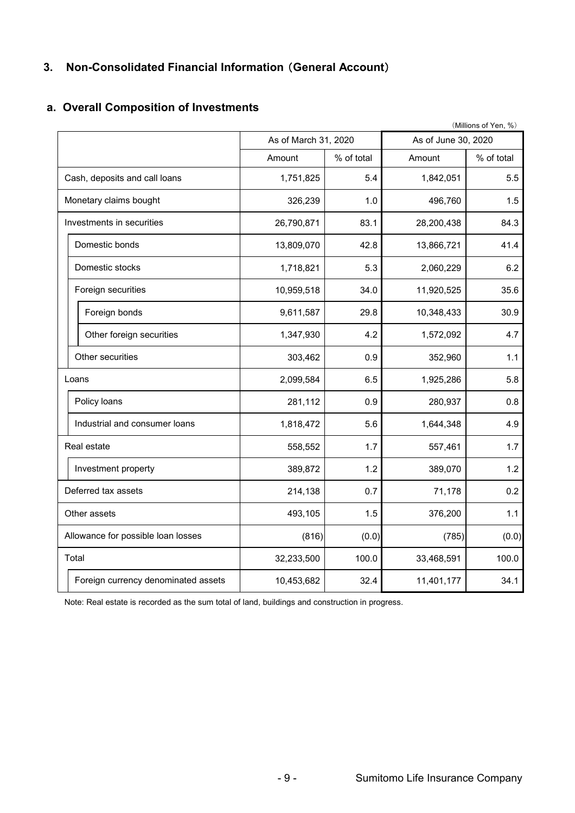## **3. Non-Consolidated Financial Information** (**General Account**)

## **a. Overall Composition of Investments**

|                                     |                      |            |                     | (Millions of Yen, %) |
|-------------------------------------|----------------------|------------|---------------------|----------------------|
|                                     | As of March 31, 2020 |            | As of June 30, 2020 |                      |
|                                     | Amount               | % of total | Amount              | % of total           |
| Cash, deposits and call loans       | 1,751,825            | 5.4        | 1,842,051           | 5.5                  |
| Monetary claims bought              | 326,239              | 1.0        | 496,760             | 1.5                  |
| Investments in securities           | 26,790,871           | 83.1       | 28,200,438          | 84.3                 |
| Domestic bonds                      | 13,809,070           | 42.8       | 13,866,721          | 41.4                 |
| Domestic stocks                     | 1,718,821            | 5.3        | 2,060,229           | 6.2                  |
| Foreign securities                  | 10,959,518           | 34.0       | 11,920,525          | 35.6                 |
| Foreign bonds                       | 9,611,587            | 29.8       | 10,348,433          | 30.9                 |
| Other foreign securities            | 1,347,930            | 4.2        | 1,572,092           | 4.7                  |
| Other securities                    | 303,462              | 0.9        | 352,960             | 1.1                  |
| Loans                               | 2,099,584            | 6.5        | 1,925,286           | 5.8                  |
| Policy loans                        | 281,112              | 0.9        | 280,937             | 0.8                  |
| Industrial and consumer loans       | 1,818,472            | 5.6        | 1,644,348           | 4.9                  |
| Real estate                         | 558,552              | 1.7        | 557,461             | 1.7                  |
| Investment property                 | 389,872              | 1.2        | 389,070             | 1.2                  |
| Deferred tax assets                 | 214,138              | 0.7        | 71,178              | 0.2                  |
| Other assets                        | 493,105              | 1.5        | 376,200             | 1.1                  |
| Allowance for possible loan losses  | (816)                | (0.0)      | (785)               | (0.0)                |
| Total                               | 32,233,500           | 100.0      | 33,468,591          | 100.0                |
| Foreign currency denominated assets | 10,453,682           | 32.4       | 11,401,177          | 34.1                 |

Note: Real estate is recorded as the sum total of land, buildings and construction in progress.